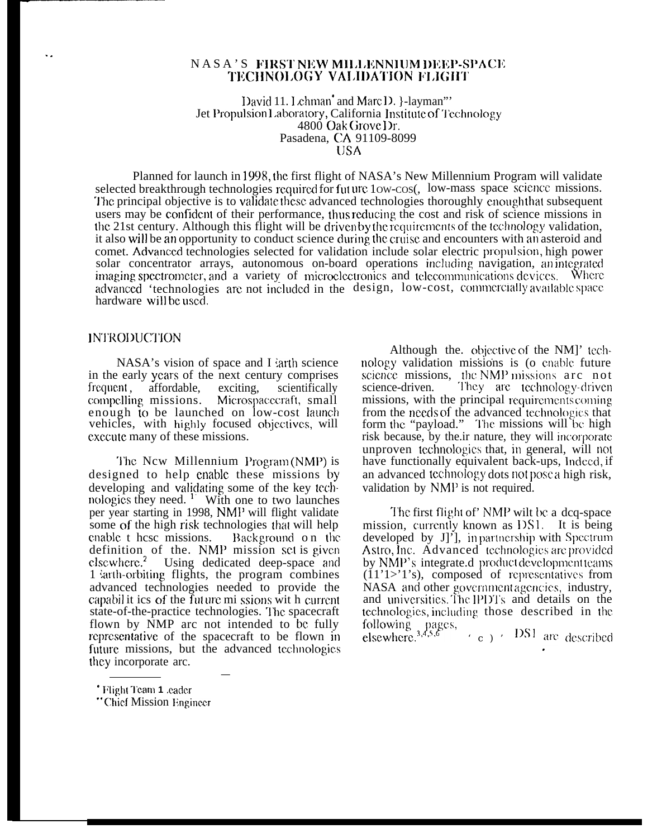# NASA'S FIRST NEW MILLENNIUM DEEP-SPACE TECHNOLOGY VALIDATION FLIGHT

David 11. Lehman' and Marc D. }-layman" Jet Propulsion Laboratory, California Institute of Technology 4800 Oak Grove Dr. Pasadena, CA 91109-8099 **USA** 

Planned for launch in 1998, the first flight of NASA's New Millennium Program will validate selected breakthrough technologies required for future 1 ow-cos(, low-mass space science missions. The principal objective is to validate these advanced technologies thoroughly enoughthat subsequent users may be confident of their performance, thus reducing the cost and risk of science missions in the 21st century. Although this flight will be driven by the requirements of the technology validation, it also will be an opportunity to conduct science during the cruise and encounters with an asteroid and comet. Advanced technologies selected for validation include solar electric propulsion, high power solar concentrator arrays, autonomous on-board operations including navigation, an integrated imaging spectrometer, and a variety of microelectronics and telecommunications devices. Where advanced 'technologies are not included in the design, low-cost, commercially available space hardware will be used.

# **INTRODUCTION**

τ.

NASA's vision of space and I larth science in the early years of the next century comprises frequent, affordable, exciting, scientifically compelling missions. Microspacecraft, small enough to be launched on low-cost launch vehicles, with highly focused objectives, will execute many of these missions.

The New Millennium Program (NMP) is designed to help enable these missions by developing and validating some of the key technologies they need.<sup>1</sup> With one to two launches per year starting in 1998, NMP will flight validate some of the high risk technologies that will help enable t hese missions. Background on the definition of the. NMP mission set is given clscwhere.<sup>2</sup> Using dedicated deep-space and 1 larth-orbiting flights, the program combines advanced technologies needed to provide the capabil it ics of the future mi ssions with current state-of-the-practice technologies. The spacecraft flown by NMP arc not intended to be fully representative of the spacecraft to be flown in future missions, but the advanced technologies they incorporate arc.

The first flight of NMP wilt be a dcq-space mission, currently known as DS1. It is being developed by J]<sup>'</sup>], in partnership with Spectrum Astro, Inc. Advanced technologies are provided by NMP's integrate.d product development teams  $(11'1>1's)$ , composed of representatives from NASA and other government agencies, industry, and universities. The IPDTs and details on the technologies, including those described in the following pages,<br>elsewhere.<sup>3,4,5,6</sup> · c  $)$  · DS1 are described

Although the. objective of the NM]' technology validation missions is (o enable future science missions, the NMP missions arc not science-driven. They are technology-driven missions, with the principal requirements coming from the needs of the advanced technologies that form the "payload." The missions will be high risk because, by the ir nature, they will incorporate unproven technologies that, in general, will not have functionally equivalent back-ups, Indeed, if an advanced technology dots not pose a high risk, validation by NMP is not required.

<sup>\*</sup>Flight Team 1 .eader

<sup>&</sup>quot;Chief Mission Engineer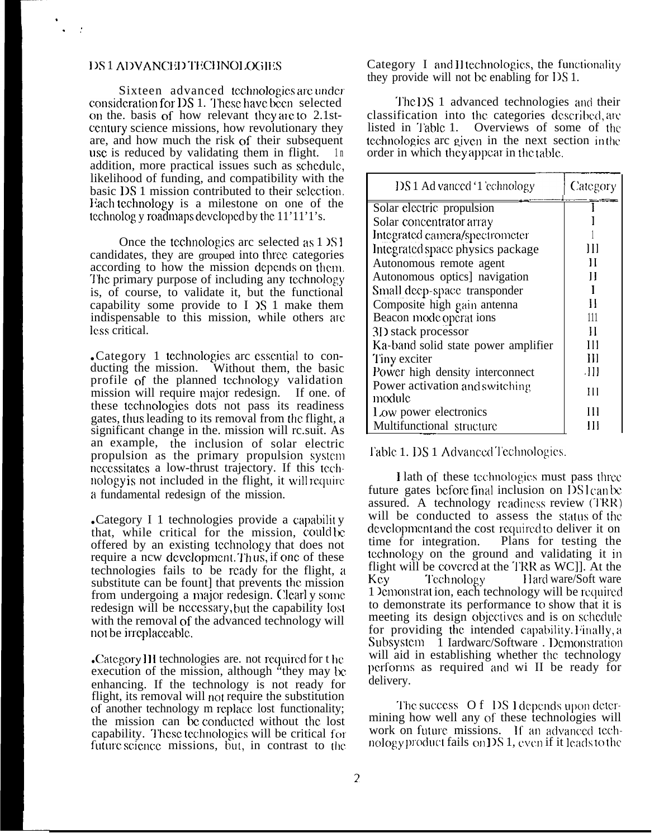# IDS 1 ADVANCED TECHNOLOGIES

. . ,,

> Sixteen advanced technologies are under consideration for  $DS 1$ . These have been selected on the. basis of how relevant they mc to 2.1stccntury science missions, how revolutionary they are, and how much the risk of their subsequent use is reduced by validating them in flight. addition, more practical issues such as schcdulc, likelihood of funding, and compatibility with the basic DS 1 mission contributed to their selection. Each technology is a milestone on one of the tcchnolog y roadmaps dcvclopcd by the 11'11'1's.

> Once the technologies arc selected as  $1$   $\overline{\smash{)}\textrm{S1}}$ candidates, they are grouped into three categories according to how the mission dcpemds on thcm. '1'hc primary purpose of including any tcchno]ogy is, of course, to validate it, but the functional capability some provide to I )S 1 make them indispensable to this mission, while others arc less critical.

> • Category 1 technologies arc essential to conducting the mission. Without them, the basic profile of the planned technology validation mission will require major redesign. If one. of these tcchno]ogics dots not pass its readiness gates, thus leading to its removal from the flight, a significant change in the. mission will rc.suit. As an example, the inclusion of solar electric propulsion as the primary propulsion system necessitates a low-thrust trajectory. If this technology is not included in the flight, it will require a fundamental redesign of the mission.

> • Category I 1 technologies provide a capability that, while critical for the mission, could be offered by an existing tcchno]ogy that does not require a ncw development. Thus, if one of these technologies fails to be ready for the flight, a substitute can be fount] that prevents the mission from undergoing a major redesign. Clearly some redesign will be necessary, but the capability lost with the removal of the advanced technology will not be irrcplaccablc.

> • Category III technologies are. not required for the execution of the mission, although "they may bc enhancing. If the technology is not ready for flight, its removal will not require the substitution of another technology m rcplacc lost functionality; the mission can be conducted without the lost capability. These technologies will be critical for future science missions, but, in contrast to the

Category I and II technologies, the functionality they provide will not bc enabling for 1>S 1.

The DS 1 advanced technologies and their classification into the categories described, are. listed in Table 1. Overviews of some of the order in which they appear in the table. **.—**

| technologies are given in the next section in the<br>order in which they appear in the table. |          |
|-----------------------------------------------------------------------------------------------|----------|
| DS 1 Ad vanced '1 echnology                                                                   | Category |
| Solar electric propulsion                                                                     |          |
| Solar concentrator array                                                                      |          |
| Integrated camera/spectrometer                                                                |          |
| Integrated space physics package                                                              | Ш        |
| Autonomous remote agent                                                                       | Н        |
| Autonomous optics] navigation                                                                 | Н        |
| Small deep-space transponder                                                                  | I        |
| Composite high gain antenna                                                                   | Н        |
| Beacon mode operations                                                                        | 111      |
| 3D stack processor                                                                            | П        |
| Ka-band solid state power amplifier                                                           | Ш        |
| Tiny exciter                                                                                  | Ш        |
| Power high density interconnect                                                               | ЛH       |
| Power activation and switching<br>module                                                      | Ш        |
| Low power electronics                                                                         | Ш        |
| Multifunctional structure                                                                     |          |

Table 1. DS 1 Advanced Technologies.

1 lath of these technologies must pass three. future gates before final inclusion on DS1 can be assured. A technology readiness review (TRR) will be conducted to assess the status of the development and the cost required to deliver it on time for integration. Plans for testing the technology on the ground and validating it in flight will be covered at the  $TRR$  as WC]. At the Key Technology Hard ware/Soft ware 1 )cmonstrat ion, each technology will be required to demonstrate its performance to show that it is meeting its design objectives and is on schedule for providing the intended capability. Finally, a Subsystem 1 Iardwarc/Software . Demonstration will aid in establishing whether the technology performs as required and wi II be ready for delivery.

The success  $\overline{Of}$  DS 1 depends upon determining how well any of these technologies will work on future missions. If an advanced technology product fails on  $DS 1$ , even if it leads to the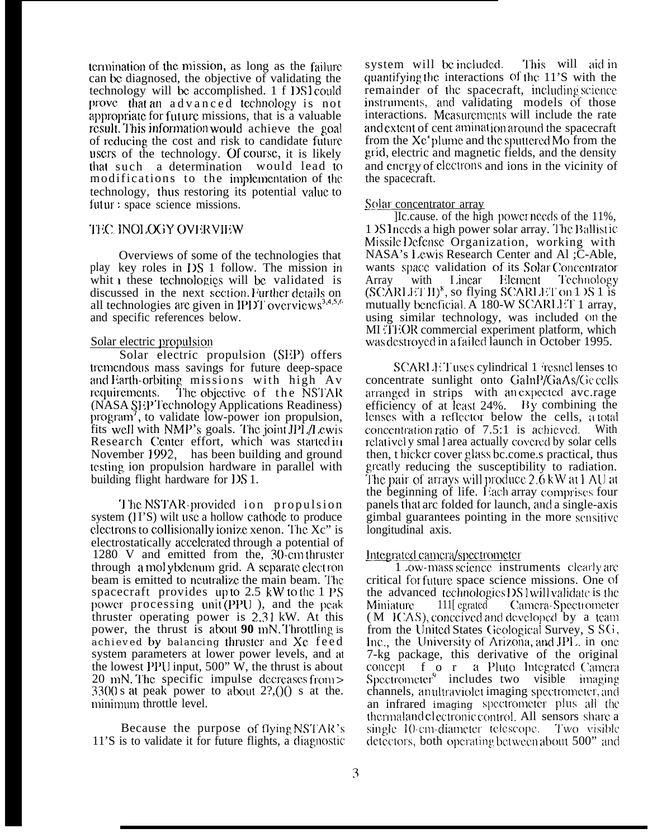termination of the mission, as long as the failure can be diagnosed, the objective of validating the technology will be accomplished. 1 f DS1could prove that an advanced technology is not appropriate for future missions, that is a valuable result. This information would achieve the goal of reducing the cost and risk to candidate future users of the technology. Of course, it is likely that such a determination would lead to modifications to the implementation of the technology, thus restoring its potential value to futur : space science missions.

### TEC INOLOGY OVERVIEW

Overviews of some of the technologies that play key roles in DS 1 follow. The mission in whit i these technologies will be validated is discussed in the next section. Further details on all technologies are given in IPDT overviews<sup>3,4,5,6</sup> and specific references below.

#### Solar electric propulsion

Solar electric propulsion (SEP) offers tremendous mass savings for future deep-space and Earth-orbiting missions with high Av The objective of the NSTAR requirements. (NASA SEP Technology Applications Readiness) program<sup>7</sup>, to validate low-power ion propulsion, fits well with NMP's goals. The joint JPI /Lewis Research Center effort, which was started in November 1992, has been building and ground testing ion propulsion hardware in parallel with building flight hardware for DS 1.

The NSTAR-provided ion propulsion system (II'S) wilt use a hollow cathode to produce electrons to collisionally ionize xenon. The Xc" is electrostatically accelerated through a potential of 1280 V and emitted from the, 30-cm thruster through a molybdenum grid. A separate electron beam is emitted to neutralize the main beam. The spacecraft provides upto 2.5 kW to the 1 PS power processing unit (PPU), and the peak thruster operating power is 2.31 kW. At this power, the thrust is about 90 mN. Throttling is achieved by balancing thruster and Xc feed system parameters at lower power levels, and at the lowest  $PPU$  input, 500" W, the thrust is about 20 mN. The specific impulse decreases from >  $3300$  s at peak power to about  $27(0)$  s at the. minimum throttle level.

Because the purpose of flying NSTAR's 11'S is to validate it for future flights, a diagnostic system will be included. This will aid in quantifying the interactions of the 11'S with the remainder of the spacecraft, including science instruments, and validating models of those interactions. Measurements will include the rate and extent of cent amination around the spacecraft from the Xe<sup>+</sup> plume and the sputtered Mo from the grid, electric and magnetic fields, and the density and energy of electrons and ions in the vicinity of the spacecraft.

#### Solar concentrator array

Ilc.cause. of the high power needs of the 11%, 1 >S1 needs a high power solar array. The Ballistic Missile Defense Organization, working with NASA's Lewis Research Center and Al ; C-Able, wants space validation of its Solar Concentrator with Linear Element - Technology Array  $(SCARIJETH)^8$ , so flying SCARLET on 1  $\Sigma$  1 is mutually beneficial. A 180-W SCARLET 1 array, using similar technology, was included on the MITI:OR commercial experiment platform, which was destroyed in a failed launch in October 1995.

SCARLET uses cylindrical 1 resuel lenses to concentrate sunlight onto GalnP/GaAs/Ge cells arranged in strips with an expected average efficiency of at least 24%. By combining the lenses with a reflector below the cells, a total concentration ratio of 7.5:1 is achieved. With relatively small area actually covered by solar cells then, t hicker cover glass bc.come.s practical, thus greatly reducing the susceptibility to radiation. The pair of arrays will produce 2.6 kW at 1 AU at the beginning of life. Each array comprises four panels that arc folded for launch, and a single-axis gimbal guarantees pointing in the more sensitive longitudinal axis.

#### Integrated camera/spectrometer

1 Jow-mass science instruments clearly are critical for future space science missions. One of the advanced technologies DS1 will validate is the Miniature  $111$ [ egrated Camera-Spectrometer (M. ICAS), conceived and developed by a team from the United States Geological Survey, S SG, Inc., the University of Arizona, and JPL, in one 7-kg package, this derivative of the original f o r a Pluto Integrated Camera concept Spectrometer<sup>9</sup> includes two visible imaging channels, anultraviolet imaging spectrometer, and an infrared imaging spectrometer plus all the thermaland electronic control. All sensors share a single 10-cm-diameter telescope. Two visible detectors, both operating between about 500" and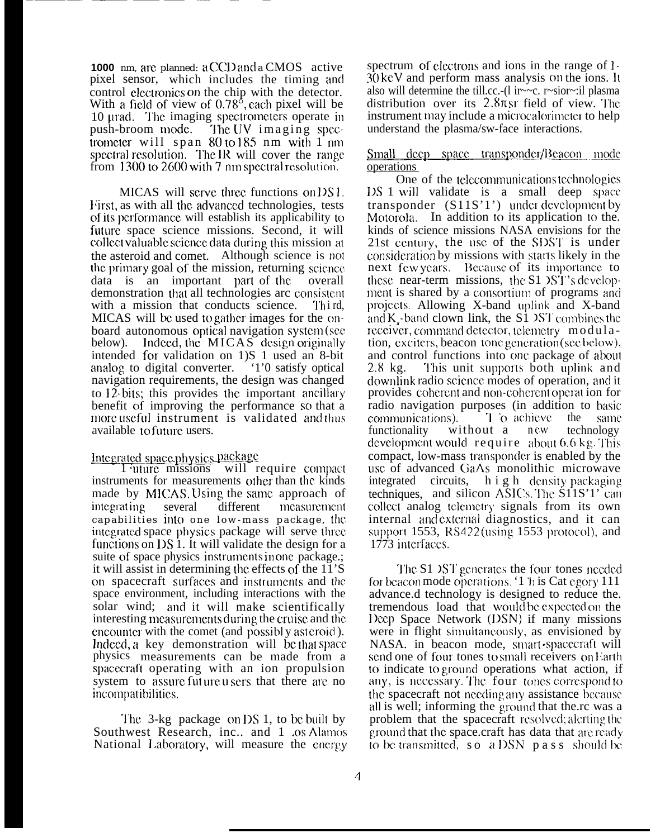**1000** nm, are planned: a CCD and a CMOS active pixel sensor, which includes the timing and control electronics on the chip with the detector. With a field of view of  $0.78^{\circ}$ , each pixel will be 10 μrad. The imaging spectrometers operate in push-broom mode. The UV imaging spectromcter will span  $80$  to 185 nm with 1 nm spectral resolution. The IR will cover the range. from 1300 to 2600 with 7 nm spectral resolution.

MICAS will serve three functions on  $DS1$ . First, as with all the advanced technologies, tests of itspcrformance will establish its applicability to future space science missions. Second, it will collect valuable science data during this mission at the asteroid and comet. Although science is m the primary goal of the mission, returning science<br>data is an important part of the overall demonstration that all technologies arc consistent with a mission that conducts science. Thind, MICAS will be used to gather images for the onboard autonomous optical navigation system (see.) below). Indeed, the MICAS design originally intended for validation on 1)S 1 used an 8-bit analog to digital converter. '1'0 satisfy optical navigation requirements, the design was changed to 12-bits; this provides the important ancillary benefit of improving the performance so that a more useful instrument is validated and thus available to future users.

# Integrated space physics package

1 uture missions will require compact instruments for measurements other than the kinds made by MICAS. Using the same approach of integrating several different measurement capabilities into one low-mass package, the integrated space physics package will serve three. functions on  $DS 1$ . It will validate the design for a suite of space physics instruments in one package.; it will assist in determining the effects of the 11'S on spacecraft surfaces and instruments and the space environment, including interactions with the solar wind; and it will make scientifically interesting mcasurcmcnts during the cruise and the encounter with the comet (and possibly ast croid).  $Indeed, a key demonstration will be that space$ physics measurements can be made from a spacccmft operating with an ion propulsion system to assure fut are u sers that there are no incompat ibilitics.

The 3-kg package on DS 1, to be built by Southwest Research, inc.. and 1 .os Alamos National Laboratory, will measure the energy

spectrum of electrons and ions in the range of  $1$ -30 kcV and perform mass analysis on the ions. It also will determine the till.cc.-(l ir~~c. r~sior~:il plasma distribution over its  $2.8\pi$  st field of view. The instrument may include a microcalorimeter to help understand the plasma/sw-face interactions.

### Small deep space transponder/Beacon mode operations

One of the telecommunications technologies  $DS 1$  will validate is a small deep space transponder  $(S11S'1')$  under development by Motorola. In addition to its application to the. kinds of science missions NASA envisions for the 21st century, the use of the SDST is under consideration by missions with starts likely in the next few years. Because of its importance to these near-term missions, Ihc S1 )S'1"s dcvclopment is shared by a consortium of programs and projects. Allowing X-band uplink and X-band and K<sub>s</sub>-band clown link, the S1  $\lambda$ ST combines the receiver, command detector, telemetry modulation, exciters, beacon tone generation (see below), and control functions into onc package of about 2.8 kg. This unit supports both uplink and downlink radio science modes of operation, and it provides cohcrcnt and non-cohcrcnt opcrat ion for radio navigation purposes (in addition to basic communications). The achieve the same functionality without a n cw technology development would require about 6.6 kg. This compact, low-mass transponder is enabled by the usc of advanced GaAs monolithic microwave integrated circuits,  $h$  i g  $h$  density packaging techniques, and silicon  $\triangle SICs$ . The  $S11S'1'$  can collect analog telemetry signals from its own internal and external diagnostics, and it can support  $1553$ ,  $RS422$  (using 1553 protocol), and 1773 interfaces.

The S1  $\Sigma$ I' generates the four tones needed for beacon mode operations. '1 'h is Cat egory 111 advance.d technology is designed to reduce the. tremendous load that would bc cxpcctcd on the Deep Space Network (DSN) if many missions were in flight simultaneously, as envisioned by NASA. in beacon mode, smart spacecraft will send one of four tones to small receivers on Earth to indicate to ground operations what action, if any, is necessary. The four tones correspond to the spacecraft not needing any assistance because all is well; informing the ground that the.rc was a problem that the spacecraft resolved; alcrting the ground that the space.craft has data that are ready to be transmitted, so a DSN pass should be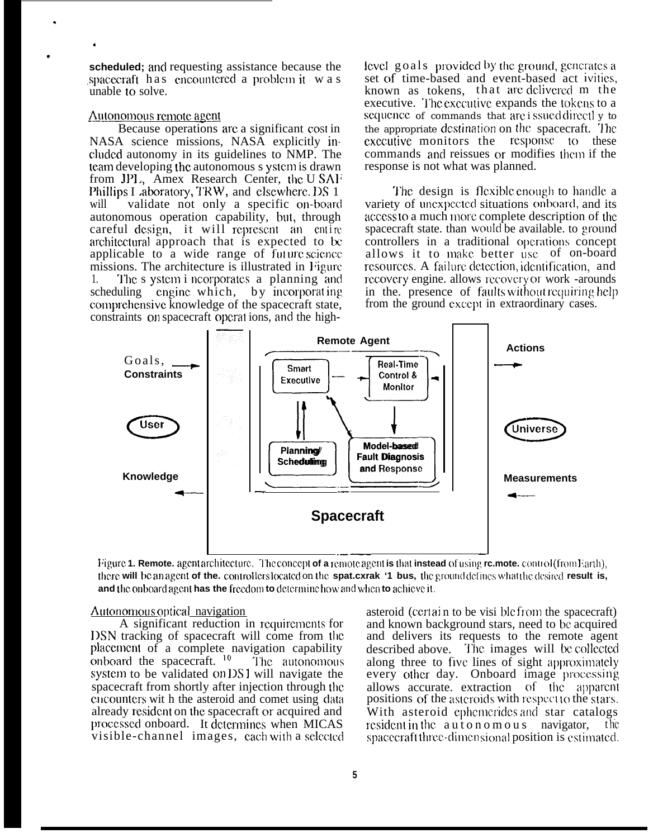**scheduled; and** requesting assistance because the spacecraft has encountered a problem it was unable to solve.

### Autonomous remote agent

.

9

Because operations are a significant cost in NASA science missions, NASA explicitly included autonomy in its guidelines to NMP. The team developing the autonomous s ystcm is drawn from JPL, Amex Research Center, the U SAF Phillips I ,aboratory, TRW, and clsewhere. DS 1 will validate not only a specific on-board autonomous operation capability, but, through careful design, it will represent an entire architectural approach that is expected to be applicable to a wide range of ful urc scicncc. missions. The architecture is illustrated in Figure 1. "1'hc s ystcm i ncorpomtcs a planning and scheduling engine which, by incorporating comprehensive knowledge of the spacecraft state, constraints on spacecraft operations, and the highlevel goals provided by the ground, generates a set of time-based and event-based act ivitics, known as tokens, that arc dclivcrcd m the executive. The executive expands the tokens to a sequence of commands that are issued directly to the appropriate destination on the spacecraft. The executive monitors the response to these commands and reissues or modifies them if the response is not what was planned.

The design is flexible enough to handle a variety of unexpected situations onboard, and its access to a much more complete description of the spacecraft state. than would be available. to ground controllers in a traditional operations concept allows it to make. better usc of on-board resources. A failure detection, identification, and rccovcry engine. allows rccovcry or work -arounds in the. presence of faults without requiring help from the ground except in extraordinary cases.



**ligure 1. Remote.** agent architecture. The concept of a remote agent is that instead of using rc.mote. control(from Earth), **there will be anagent of the.** controllers located on the **spat.cxrak '1 bus,** the ground defines what the desired **result is, and the onboard agent has the freedom to determine how and when to achieve it.** 

#### Autonomous optical navigation

A significant reduction in rcquircmcnts for DSN tracking of spacecraft will come from the placcmcnt of a complete navigation capability onboard the spacecraft.<sup>10</sup> The autonomous system to be validated on DS1 will navigate the spacecraft from shortly after injection through the counters with the asteroid and comet using data already rcsidcmt on the spacecraft or acquired and processed onboard. It determines when MICAS visible-channel images, each with a selected

asteroid (certain to be visi ble from the spacecraft) and known background stars, need to bc acquired and delivers its requests to the remote agent described above. The images will be collected along three to five lines of sight approximately every other day. Onboard image processing allows accurate. extraction of the apparent positions of the asteroids with respect to the stars. With asteroid ephemerides and star catalogs resident in the autonomous navigator, the spacecraft three-dimensional position is estimated.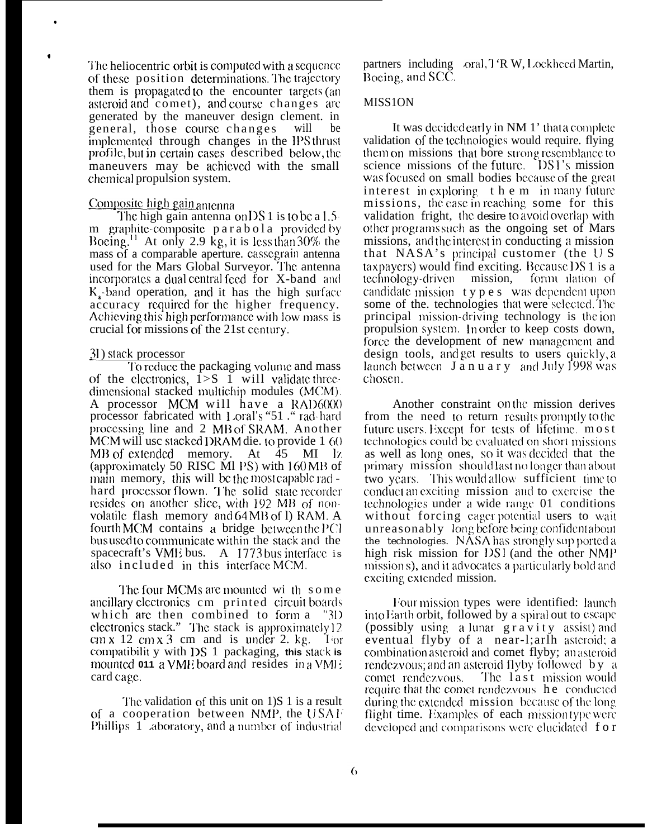The heliocentric orbit is computed with a sequence of these position determinations. The trajectory them is propagated to the encounter targets (an asteroid and comet), and course changes are generated by the maneuver design clement. in general, those course changes will be implemented through changes in the IPS thrust profile, but in certain cases described below, the maneuvers may be achieved with the small chemical propulsion system.

### Composite high gain antenna

The high gain antenna on  $DS 1$  is to be a 1.5 m graphite-composite parabola provided by Boeing.<sup>11</sup> At only 2.9 kg, it is less than 30% the mass of a comparable aperture. cassegrain antenna used for the Mars Global Surveyor. The antenna incorporates a dual central feed for X-band and K<sub>s</sub>-band operation, and it has the high surface accuracy required for the higher frequency. Achieving this high performance with low mass is crucial for missions of the 21st century.

### 31) stack processor

To reduce the packaging volume and mass of the electronics,  $1 > S$  1 will validate threedimensional stacked multichip modules (MCM). A processor MCM will have a RAD6000 processor fabricated with Loral's "51 ." rad-hard processing line and 2 MB of SRAM. Another MCM will usc stacked DRAM die. to provide 1 60 MB of extended memory. At 45 MI -lz (approximately 50 RISC MI PS) with 160MB of main memory, this will be the most capable rad hard processor flown. The solid state recorder resides on another slice, with 192 MB of nonvolatile flash memory and 64 MB of 1) RAM. A fourth MCM contains a bridge between the PCI busused to communicate within the stack and the spacecraft's VME bus. A 1773 bus interface is also included in this interface MCM.

The four MCMs are mounted with some ancillary electronics cm printed circuit boards which are then combined to form a "3D electronics stack." The stack is approximately 12 cm x 12 cm x 3 cm and is under 2. kg. - I or compatibilit y with DS 1 packaging, this stack is mounted  $011$  a VME board and resides in a VME card cage.

The validation of this unit on  $1$ )S 1 is a result of a cooperation between NMP, the USAF Phillips 1 aboratory, and a number of industrial

partners including oral, T R W, Lockheed Martin, Boeing, and SCC.

### MISS1ON

It was decided early in NM 1' that a complete validation of the technologies would require. flying them on missions that bore strong resemblance to science missions of the future. DS1's mission was focused on small bodies because of the great interest in exploring them in many future missions, the case in reaching some for this validation fright, the desire to avoid overlap with other programs such as the ongoing set of Mars missions, and the interest in conducting a mission that NASA's principal customer (the  $U S$ taxpayers) would find exciting. Because  $DS1$  is a technology-driven mission, formulation of candidate mission  $ty$   $p e s$  was dependent upon some of the technologies that were selected. The principal mission-driving technology is the ion propulsion system. In order to keep costs down, force the development of new management and design tools, and get results to users quickly, a launch between J a n u a r y and July 1998 was chosen.

Another constraint on the mission derives from the need to return results promptly to the future users. Except for tests of lifetime. most technologies could be evaluated on short missions as well as long ones, so it was decided that the primary mission should last no longer than about two years. This would allow sufficient time to conduct an exciting mission and to exercise the technologies under a wide range 01 conditions without forcing cager potential users to wait unreasonably long before being confidentabout the technologies. NASA has strongly sup ported a high risk mission for DS1 (and the other NMP mission s), and it advocates a particularly bold and exciting extended mission.

Four mission types were identified: launch into Earth orbit, followed by a spiral out to escape (possibly using a lunar gravity assist) and eventual flyby of a near-1; arlh asteroid; a combination asteroid and comet flyby; an asteroid rendezvous; and an asteroid flyby followed by a comet rendezvous. The last mission would require that the comet rendezyous he conducted during the extended mission because of the long flight time. Examples of each mission type were developed and comparisons were elucidated for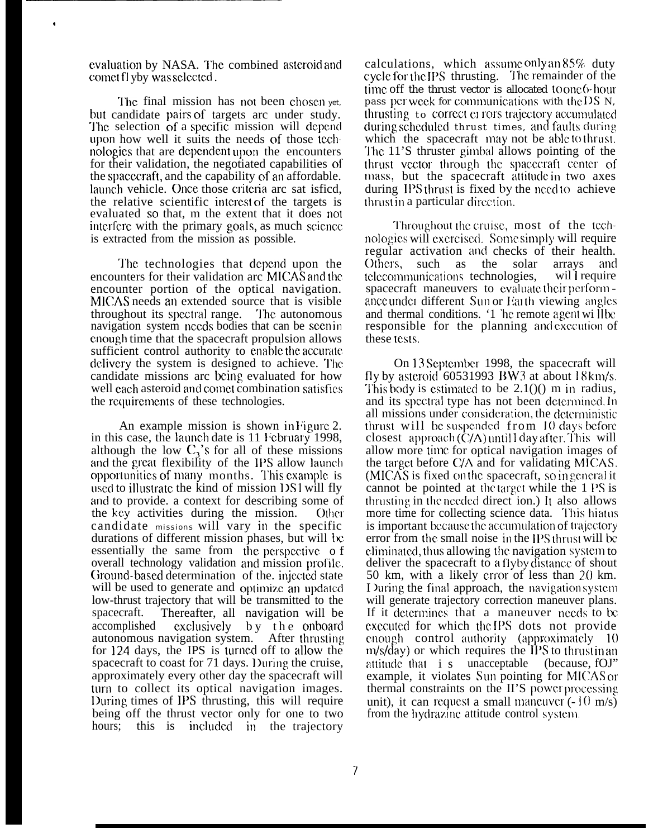evaluation by NASA. The combined asteroid and comet fl yby was selected.

'1'he final mission has not been chosen yet, but candidate pairs of targets arc under study. The selection of a specific mission will depend upon how well it suits the needs of those techno]ogics that are dcpcndemt upon the encounters for their validation, the negotiated capabilities of the spacecmft, and the capability of an affordable. launch vehicle. Once those criteria arc sat isfied, the relative scientific interest of the targets is evaluated so that, m the extent that it does not interfere with the primary goals, as much science is extracted from the mission as possible.

'1'he technologies that depend upon the encounters for their validation arc MICAS and the encounter portion of the optical navigation. MICAS needs an extended source that is visible throughout its spectral range. The autonomous navigation system needs bodies that can be seen in enough time that the spacecraft propulsion allows sufficient control authority to enable the accurate delivery the system is designed to achieve. The candidate missions arc being evaluated for how well each asteroid and comet combination satisfies. the rcquircmcnts of these technologies.

An example mission is shown in Figure 2. in this case, the launch date is 11 February 1998, although the low  $C_3$ 's for all of these missions and the great flexibility of the IPS allow launch opportunities of many months. This example is used to illustrate the kind of mission DS1 will fly and to provide. a context for describing some of the key activities during the mission. Other candidate missions will vary in the specific durations of different mission phases, but will  $\alpha$ essentially the same from the perspective of overall technology validation and mission profile. Ground-based determination of the. injected state will be used to generate and optimize an updated low-thrust trajectory that will be transmitted to the spacecraft. Thereafter, all navigation will be accomplished exclusively by the onboard autonomous navigation system. After thrusting for 124 days, the IPS is turned off to allow the spacecraft to coast for 71 days. During the cruise, approximately every other day the spacecraft will turn to collect its optical navigation images. I)uring times of lPS thrusting, this will require being off the thrust vector only for one to two hours; this is included in the trajectory

calculations, which assume only an 85% duty cycle for the IPS thrusting. The remainder of the time off the thrust vector is allocated to  $one 6$ -hour pass per week for communications with the  $DSN$ , thrusting to correct ei rors trajectory accumulated during scheduled thrust times, and faults during which the spacecraft may not be able to thrust. The 11'S thruster gimbal allows pointing of the thrust vector through the spacecraft center of mass, but the spacecraft attitude in two axes during IPS thrust is fixed by the need to achieve thrust in a particular direction.

Throughout the cruise, most of the technologies will exercised. Some simply will require regular activation and checks of their health. Othcrs, such as the solar arrays and telecommunications technologies, wil I require spacecraft maneuvers to evaluate their perform ance under different Sun or Earth viewing angles and thermal conditions.  $\mathbf{1}$  he remote agent will be responsible for the planning and execution of these tests.

On 13 Scptcmbcr 1998, the spacecraft will fly by asteroid 60531993 BW3 at about  $18 \text{ km/s}$ . This body is estimated to be  $2.1()()$  m in radius, and its spectral type has not been determined. In all missions under consideration, the deterministic thrust will be suspended from  $10$  days before closest approach  $(C/A)$  until 1 day after. This will allow more time, for optical navigation images of the target before  $C/A$  and for validating MICAS.  $(MICAS)$  is fixed on the spacecraft, so in general it cannot be pointed at the target while the  $1 \text{ PS is}$ thrusting in the needed direct ion.) It also allows more time for collecting science data. This hiatus is important because the accumulation of trajectory error from the small noise in the IPS thrust will be eliminated, thus allowing the navigation system to deliver the spacecraft to a flyby distance of shout. 50 km, with a likely error of less than ?() km. I )uring the finnl approach, the navigation system will generate trajectory correction maneuver plans. If it determines that a maneuver needs to be executed for which the IPS dots not provide enough control authority (approximately  $10$ )  $m/s/day$ ) or which requires the IPS to thrust in an attitude that  $i \simeq$  unacceptable (because, fOJ" example, it violates Sun pointing for MICAS or thermal constraints on the II'S power processing unit), it can request a small maneuver  $(-10 \text{ m/s})$ from the hydrazine attitude control system.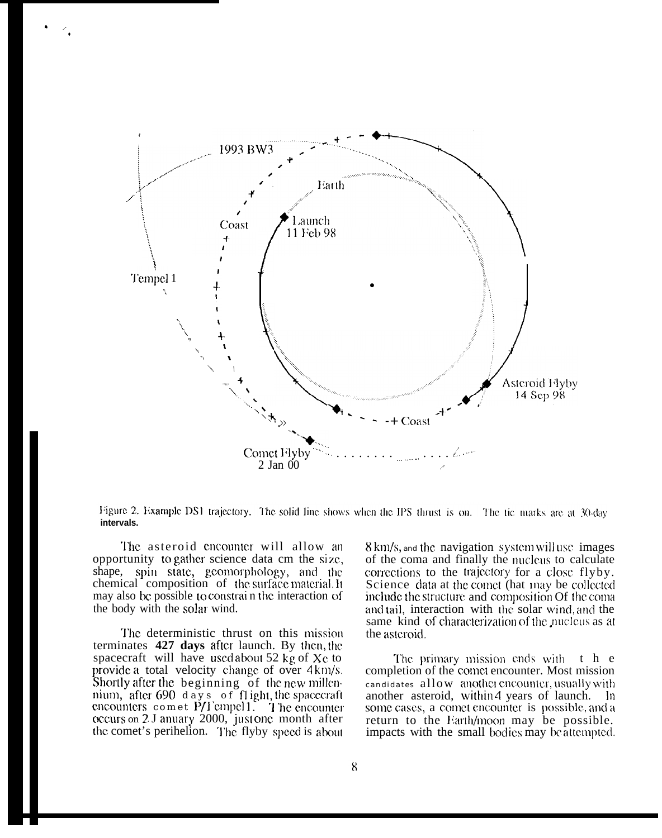



The asteroid encounter will allow an opportunity to gather science data cm the size, shape, spin state, geomorphology, and the chemical composition of the surface material. It may also be possible to constrain the interaction of the body with the solar wind.

The deterministic thrust on this mission terminates 427 days after launch. By then, the spacecraft will have used about 52  $kg$  of  $Xe$  to provide a total velocity change of over 4 km/s. Shortly after the beginning of the new millennium, after 690 d a y s of flight, the spacecraft encounters comet P/I'empel1. The encounter occurs on 2. J anuary 2000, just one month after the comet's perihelion. The flyby speed is about 8 km/s, and the navigation system will use images of the coma and finally the nucleus to calculate corrections to the trajectory for a close flyby. Science data at the comet (hat may be collected include the structure and composition Of the coma and tail, interaction with the solar wind and the same kind of characterization of the nucleus as at the asteroid.

The primary mission ends with t h e completion of the comet encounter. Most mission candidates allow another encounter, usually with another asteroid, within 4 years of launch. In some cases, a comet encounter is possible, and a return to the Earth/moon may be possible. impacts with the small bodies may be attempted.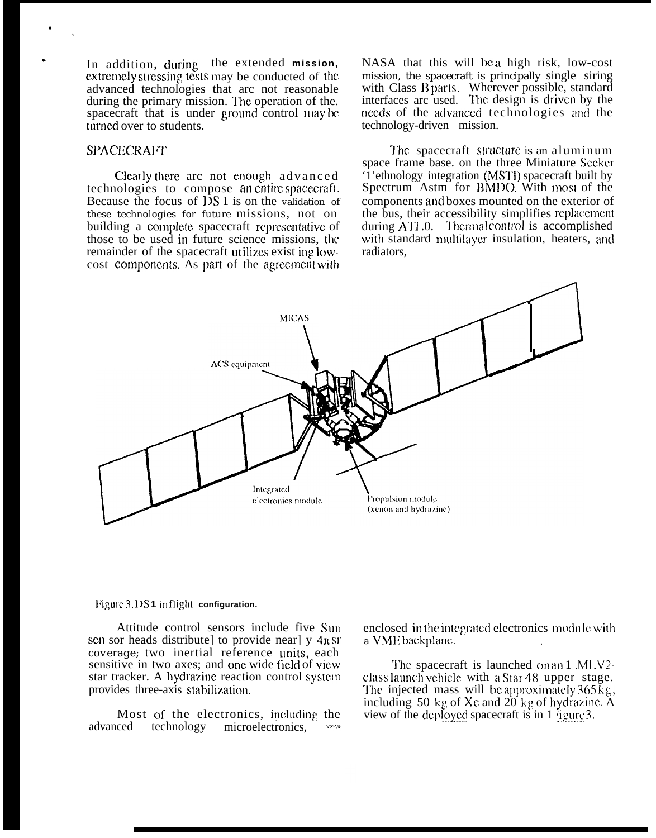In addition, during the extended **mission,**  $extremely$  stressing tests may be conducted of the advanced technologies that arc not reasonable during the primary mission. The operation of the. spacecraft that is under ground control may be turned over to students.

# **SPACECRAFT**

●

,

✎

Clearly there arc not enough advanced technologies to compose an entire spacecraft. Because the focus of IJS 1 is on the validation of these technologies for future missions, not on building a complete spacecraft representative of those to be used in future science missions, the remainder of the spacecraft ut ilizcs exist ing lowcost components. As part of the agreement with

NASA that this will bc a high risk, low-cost mission, the spacecraft is principally single siring with Class Bparts. Wherever possible, standard interfaces arc used. "1'hc design is driven by the necds of the advanced technologies and the technology-driven mission.

The spacecraft structure is an aluminum space frame base. on the three Miniature Seeker '1'ethnology integration (MS"l'1) spacecraft built by Spectrum Astm for BMDO. With most of the components and boxes mounted on the exterior of the bus, their accessibility simplifies replacement during ATI.0. Thermal control is accomplished with standard multilayer insulation, heaters, and radiators,



#### **};igurc 3. 1)S 1 in flight configuration.**

sen sor heads distribute] to provide near]  $y \, 4\pi s r$  a VMH backplane. coverage; two inertial reference units, each sensitive in two axes; and one wide field of view The spacecraft is launched on an  $1 \text{ } MLV2$ . star tracker. A hydrazine reaction control system class launch vehicle with a Star 48 upper stage.

advanced technology microelectronics,

Attitude control sensors include five Sun enclosed in the integrated electronics module with .

provides three-axis stabilization. The injected mass will be approximately 365 kg, including 50 kg of  $Xc$  and 20 kg of hydrazinc. A Most of the electronics, including the view of the deployed spacecraft is in  $1$  igure 3.